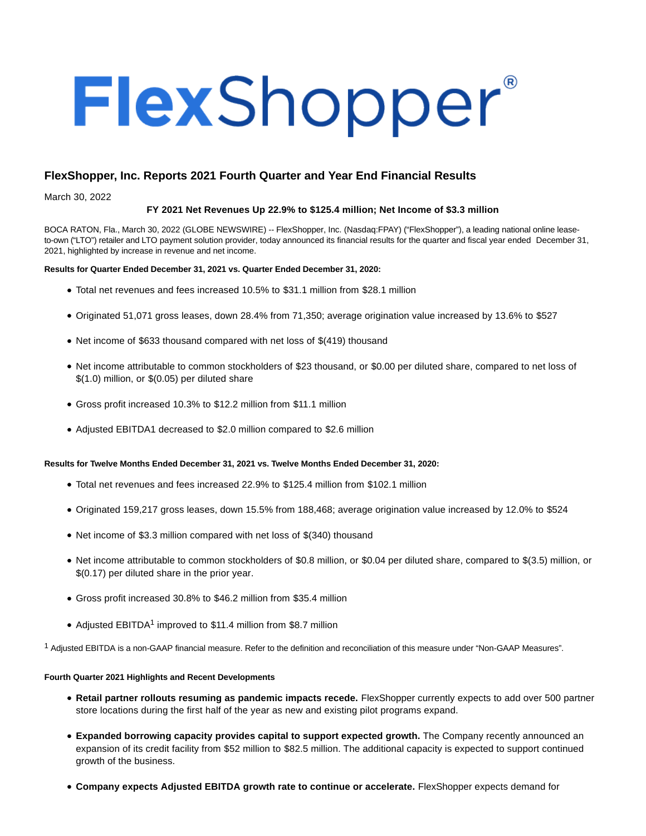# FlexShopper®

# **FlexShopper, Inc. Reports 2021 Fourth Quarter and Year End Financial Results**

March 30, 2022

# **FY 2021 Net Revenues Up 22.9% to \$125.4 million; Net Income of \$3.3 million**

BOCA RATON, Fla., March 30, 2022 (GLOBE NEWSWIRE) -- FlexShopper, Inc. (Nasdaq:FPAY) ("FlexShopper"), a leading national online leaseto-own ("LTO") retailer and LTO payment solution provider, today announced its financial results for the quarter and fiscal year ended December 31, 2021, highlighted by increase in revenue and net income.

# **Results for Quarter Ended December 31, 2021 vs. Quarter Ended December 31, 2020:**

- Total net revenues and fees increased 10.5% to \$31.1 million from \$28.1 million
- Originated 51,071 gross leases, down 28.4% from 71,350; average origination value increased by 13.6% to \$527
- Net income of \$633 thousand compared with net loss of \$(419) thousand
- Net income attributable to common stockholders of \$23 thousand, or \$0.00 per diluted share, compared to net loss of \$(1.0) million, or \$(0.05) per diluted share
- Gross profit increased 10.3% to \$12.2 million from \$11.1 million
- Adjusted EBITDA1 decreased to \$2.0 million compared to \$2.6 million

# **Results for Twelve Months Ended December 31, 2021 vs. Twelve Months Ended December 31, 2020:**

- Total net revenues and fees increased 22.9% to \$125.4 million from \$102.1 million
- Originated 159,217 gross leases, down 15.5% from 188,468; average origination value increased by 12.0% to \$524
- Net income of \$3.3 million compared with net loss of \$(340) thousand
- Net income attributable to common stockholders of \$0.8 million, or \$0.04 per diluted share, compared to \$(3.5) million, or \$(0.17) per diluted share in the prior year.
- Gross profit increased 30.8% to \$46.2 million from \$35.4 million
- Adjusted EBITDA<sup>1</sup> improved to \$11.4 million from \$8.7 million

1 Adjusted EBITDA is a non-GAAP financial measure. Refer to the definition and reconciliation of this measure under "Non-GAAP Measures".

# **Fourth Quarter 2021 Highlights and Recent Developments**

- **Retail partner rollouts resuming as pandemic impacts recede.** FlexShopper currently expects to add over 500 partner store locations during the first half of the year as new and existing pilot programs expand.
- **Expanded borrowing capacity provides capital to support expected growth.** The Company recently announced an expansion of its credit facility from \$52 million to \$82.5 million. The additional capacity is expected to support continued growth of the business.
- **Company expects Adjusted EBITDA growth rate to continue or accelerate.** FlexShopper expects demand for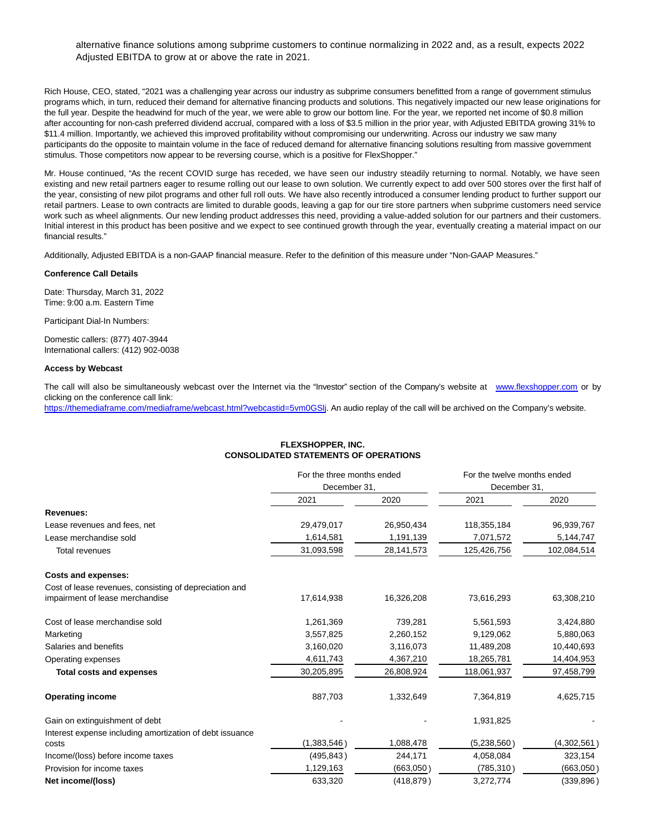# alternative finance solutions among subprime customers to continue normalizing in 2022 and, as a result, expects 2022 Adjusted EBITDA to grow at or above the rate in 2021.

Rich House, CEO, stated, "2021 was a challenging year across our industry as subprime consumers benefitted from a range of government stimulus programs which, in turn, reduced their demand for alternative financing products and solutions. This negatively impacted our new lease originations for the full year. Despite the headwind for much of the year, we were able to grow our bottom line. For the year, we reported net income of \$0.8 million after accounting for non-cash preferred dividend accrual, compared with a loss of \$3.5 million in the prior year, with Adjusted EBITDA growing 31% to \$11.4 million. Importantly, we achieved this improved profitability without compromising our underwriting. Across our industry we saw many participants do the opposite to maintain volume in the face of reduced demand for alternative financing solutions resulting from massive government stimulus. Those competitors now appear to be reversing course, which is a positive for FlexShopper."

Mr. House continued, "As the recent COVID surge has receded, we have seen our industry steadily returning to normal. Notably, we have seen existing and new retail partners eager to resume rolling out our lease to own solution. We currently expect to add over 500 stores over the first half of the year, consisting of new pilot programs and other full roll outs. We have also recently introduced a consumer lending product to further support our retail partners. Lease to own contracts are limited to durable goods, leaving a gap for our tire store partners when subprime customers need service work such as wheel alignments. Our new lending product addresses this need, providing a value-added solution for our partners and their customers. Initial interest in this product has been positive and we expect to see continued growth through the year, eventually creating a material impact on our financial results."

Additionally, Adjusted EBITDA is a non-GAAP financial measure. Refer to the definition of this measure under "Non-GAAP Measures."

### **Conference Call Details**

Date: Thursday, March 31, 2022 Time: 9:00 a.m. Eastern Time

Participant Dial-In Numbers:

Domestic callers: (877) 407-3944 International callers: (412) 902-0038

### **Access by Webcast**

The call will also be simultaneously webcast over the Internet via the "Investor" section of the Company's website at [www.flexshopper.com o](http://www.flexshopper.com/)r by clicking on the conference call link:

[https://themediaframe.com/mediaframe/webcast.html?webcastid=5vm0GSlj.](https://www.globenewswire.com/Tracker?data=ZE8WTzw3kuzszfxiCZ1lodf3AIAY2spkczBJc_zHOje9ccHiyvO8yygtzvpol0ivtKkHi5oH_1BAlsKS7pGJMMgksU7bp9iJLU2HYFyiJMwEQbxiYRI3Dn_MbhIQK7qrX6DNP6yduEi1JNBdMQZYcKHgVhPBr9SlffgqtPBJYKlWHIQLv3OhTC5Lv4LXaAH4CAwlMqJmEJaFGUWXZK-Ttw==) An audio replay of the call will be archived on the Company's website.

# **FLEXSHOPPER, INC. CONSOLIDATED STATEMENTS OF OPERATIONS**

|                                                          | For the three months ended |            | For the twelve months ended |             |  |
|----------------------------------------------------------|----------------------------|------------|-----------------------------|-------------|--|
|                                                          | December 31,               |            | December 31,                |             |  |
|                                                          | 2021                       | 2020       | 2021                        | 2020        |  |
| <b>Revenues:</b>                                         |                            |            |                             |             |  |
| Lease revenues and fees, net                             | 29,479,017                 | 26,950,434 | 118,355,184                 | 96,939,767  |  |
| Lease merchandise sold                                   | 1,614,581                  | 1,191,139  | 7,071,572                   | 5,144,747   |  |
| <b>Total revenues</b>                                    | 31,093,598                 | 28,141,573 | 125,426,756                 | 102,084,514 |  |
| <b>Costs and expenses:</b>                               |                            |            |                             |             |  |
| Cost of lease revenues, consisting of depreciation and   |                            |            |                             |             |  |
| impairment of lease merchandise                          | 17,614,938                 | 16,326,208 | 73,616,293                  | 63,308,210  |  |
| Cost of lease merchandise sold                           | 1,261,369                  | 739,281    | 5,561,593                   | 3,424,880   |  |
| Marketing                                                | 3,557,825                  | 2,260,152  | 9,129,062                   | 5,880,063   |  |
| Salaries and benefits                                    | 3,160,020                  | 3,116,073  | 11,489,208                  | 10,440,693  |  |
| Operating expenses                                       | 4,611,743                  | 4,367,210  | 18,265,781                  | 14,404,953  |  |
| <b>Total costs and expenses</b>                          | 30,205,895                 | 26,808,924 | 118,061,937                 | 97,458,799  |  |
| <b>Operating income</b>                                  | 887,703                    | 1,332,649  | 7,364,819                   | 4,625,715   |  |
| Gain on extinguishment of debt                           |                            |            | 1,931,825                   |             |  |
| Interest expense including amortization of debt issuance |                            |            |                             |             |  |
| costs                                                    | (1,383,546)                | 1,088,478  | (5,238,560)                 | (4,302,561) |  |
| Income/(loss) before income taxes                        | (495, 843)                 | 244,171    | 4,058,084                   | 323,154     |  |
| Provision for income taxes                               | 1,129,163                  | (663,050)  | (785,310)                   | (663,050)   |  |
| Net income/(loss)                                        | 633,320                    | (418, 879) | 3,272,774                   | (339, 896)  |  |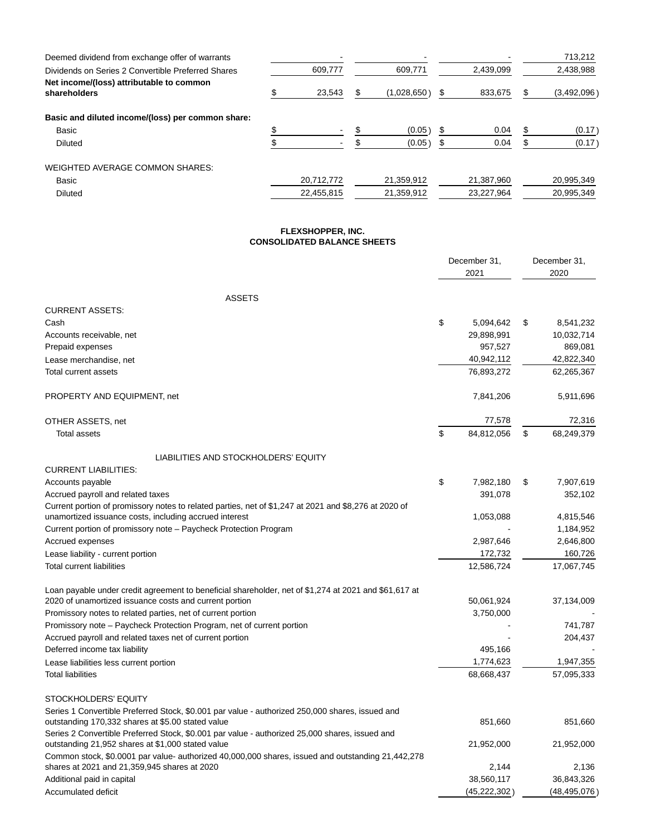| Deemed dividend from exchange offer of warrants          |            |             |   |            |   | 713,212     |
|----------------------------------------------------------|------------|-------------|---|------------|---|-------------|
| Dividends on Series 2 Convertible Preferred Shares       | 609.777    | 609,771     |   | 2.439.099  |   | 2,438,988   |
| Net income/(loss) attributable to common<br>shareholders | 23.543     | (1,028,650) | S | 833.675    |   | (3,492,096) |
| Basic and diluted income/(loss) per common share:        |            |             |   |            |   |             |
| Basic                                                    |            | (0.05)      |   | 0.04       | ъ | (0.17)      |
| Diluted                                                  |            | (0.05)      |   | 0.04       |   | (0.17)      |
| <b>WEIGHTED AVERAGE COMMON SHARES:</b>                   |            |             |   |            |   |             |
| Basic                                                    | 20.712.772 | 21,359,912  |   | 21,387,960 |   | 20,995,349  |
| Diluted                                                  | 22,455,815 | 21,359,912  |   | 23,227,964 |   | 20,995,349  |

### **FLEXSHOPPER, INC. CONSOLIDATED BALANCE SHEETS**

|                                                                                                                                                                 | December 31,<br>2021 |    | December 31,<br>2020   |
|-----------------------------------------------------------------------------------------------------------------------------------------------------------------|----------------------|----|------------------------|
| <b>ASSETS</b>                                                                                                                                                   |                      |    |                        |
| <b>CURRENT ASSETS:</b>                                                                                                                                          |                      |    |                        |
| Cash                                                                                                                                                            | \$<br>5,094,642      | \$ | 8,541,232              |
| Accounts receivable, net                                                                                                                                        | 29,898,991           |    | 10,032,714             |
| Prepaid expenses                                                                                                                                                | 957,527              |    | 869,081                |
| Lease merchandise, net                                                                                                                                          | 40,942,112           |    | 42,822,340             |
| Total current assets                                                                                                                                            | 76,893,272           |    | 62,265,367             |
| PROPERTY AND EQUIPMENT, net                                                                                                                                     | 7,841,206            |    | 5,911,696              |
| OTHER ASSETS, net                                                                                                                                               | 77,578               |    | 72,316                 |
| <b>Total assets</b>                                                                                                                                             | \$<br>84,812,056     | \$ | 68,249,379             |
| LIABILITIES AND STOCKHOLDERS' EQUITY                                                                                                                            |                      |    |                        |
| <b>CURRENT LIABILITIES:</b>                                                                                                                                     |                      |    |                        |
| Accounts payable                                                                                                                                                | \$<br>7,982,180      | \$ | 7,907,619              |
| Accrued payroll and related taxes                                                                                                                               | 391,078              |    | 352,102                |
| Current portion of promissory notes to related parties, net of \$1,247 at 2021 and \$8,276 at 2020 of                                                           |                      |    |                        |
| unamortized issuance costs, including accrued interest                                                                                                          | 1,053,088            |    | 4,815,546              |
| Current portion of promissory note – Paycheck Protection Program                                                                                                | 2,987,646            |    | 1,184,952<br>2,646,800 |
| Accrued expenses                                                                                                                                                | 172,732              |    | 160,726                |
| Lease liability - current portion<br><b>Total current liabilities</b>                                                                                           | 12,586,724           |    | 17,067,745             |
|                                                                                                                                                                 |                      |    |                        |
| Loan payable under credit agreement to beneficial shareholder, net of \$1,274 at 2021 and \$61,617 at<br>2020 of unamortized issuance costs and current portion | 50,061,924           |    | 37,134,009             |
| Promissory notes to related parties, net of current portion                                                                                                     | 3,750,000            |    |                        |
| Promissory note – Paycheck Protection Program, net of current portion                                                                                           |                      |    | 741,787                |
| Accrued payroll and related taxes net of current portion                                                                                                        |                      |    | 204,437                |
| Deferred income tax liability                                                                                                                                   | 495.166              |    |                        |
| Lease liabilities less current portion                                                                                                                          | 1,774,623            |    | 1,947,355              |
| <b>Total liabilities</b>                                                                                                                                        | 68,668,437           |    | 57,095,333             |
| STOCKHOLDERS' EQUITY                                                                                                                                            |                      |    |                        |
| Series 1 Convertible Preferred Stock, \$0.001 par value - authorized 250,000 shares, issued and                                                                 |                      |    |                        |
| outstanding 170,332 shares at \$5.00 stated value                                                                                                               | 851,660              |    | 851,660                |
| Series 2 Convertible Preferred Stock, \$0.001 par value - authorized 25,000 shares, issued and                                                                  |                      |    |                        |
| outstanding 21,952 shares at \$1,000 stated value                                                                                                               | 21,952,000           |    | 21,952,000             |
| Common stock, \$0.0001 par value- authorized 40,000,000 shares, issued and outstanding 21,442,278<br>shares at 2021 and 21,359,945 shares at 2020               | 2,144                |    | 2,136                  |
| Additional paid in capital                                                                                                                                      | 38,560,117           |    | 36,843,326             |
| Accumulated deficit                                                                                                                                             | (45, 222, 302)       |    | (48, 495, 076)         |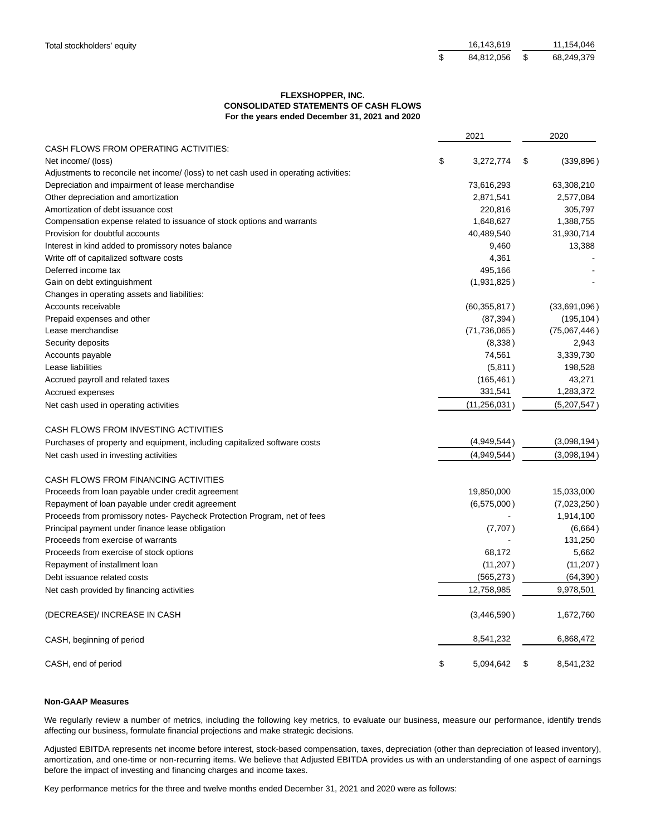| Total stockholders' equity | 16.143.619    | 11.154.046 |
|----------------------------|---------------|------------|
|                            | 84.812.056 \$ | 68,249,379 |

# **FLEXSHOPPER, INC. CONSOLIDATED STATEMENTS OF CASH FLOWS For the years ended December 31, 2021 and 2020**

|                                                                                                       | 2021            | 2020             |
|-------------------------------------------------------------------------------------------------------|-----------------|------------------|
| CASH FLOWS FROM OPERATING ACTIVITIES:                                                                 |                 |                  |
| Net income/ (loss)                                                                                    | \$<br>3,272,774 | \$<br>(339, 896) |
| Adjustments to reconcile net income/ (loss) to net cash used in operating activities:                 |                 |                  |
| Depreciation and impairment of lease merchandise                                                      | 73,616,293      | 63,308,210       |
| Other depreciation and amortization                                                                   | 2,871,541       | 2,577,084        |
| Amortization of debt issuance cost                                                                    | 220,816         | 305,797          |
| Compensation expense related to issuance of stock options and warrants                                | 1,648,627       | 1,388,755        |
| Provision for doubtful accounts                                                                       | 40,489,540      | 31,930,714       |
| Interest in kind added to promissory notes balance                                                    | 9,460           | 13,388           |
| Write off of capitalized software costs                                                               | 4,361           |                  |
| Deferred income tax                                                                                   | 495,166         |                  |
| Gain on debt extinguishment                                                                           | (1,931,825)     |                  |
| Changes in operating assets and liabilities:                                                          |                 |                  |
| Accounts receivable                                                                                   | (60, 355, 817)  | (33,691,096)     |
| Prepaid expenses and other                                                                            | (87, 394)       | (195, 104)       |
| Lease merchandise                                                                                     | (71, 736, 065)  | (75,067,446)     |
| Security deposits                                                                                     | (8,338)         | 2,943            |
| Accounts payable                                                                                      | 74,561          | 3,339,730        |
| Lease liabilities                                                                                     | (5,811)         | 198,528          |
| Accrued payroll and related taxes                                                                     | (165, 461)      | 43,271           |
| Accrued expenses                                                                                      | 331,541         | 1,283,372        |
| Net cash used in operating activities                                                                 | (11, 256, 031)  | (5,207,547)      |
| CASH FLOWS FROM INVESTING ACTIVITIES                                                                  |                 |                  |
| Purchases of property and equipment, including capitalized software costs                             | (4,949,544)     | (3,098,194)      |
| Net cash used in investing activities                                                                 | (4,949,544)     | (3,098,194)      |
| CASH FLOWS FROM FINANCING ACTIVITIES                                                                  |                 |                  |
|                                                                                                       | 19,850,000      | 15,033,000       |
| Proceeds from loan payable under credit agreement<br>Repayment of loan payable under credit agreement | (6,575,000)     | (7,023,250)      |
| Proceeds from promissory notes- Paycheck Protection Program, net of fees                              |                 | 1,914,100        |
| Principal payment under finance lease obligation                                                      | (7,707)         | (6,664)          |
| Proceeds from exercise of warrants                                                                    |                 | 131,250          |
| Proceeds from exercise of stock options                                                               | 68,172          | 5,662            |
| Repayment of installment loan                                                                         | (11, 207)       | (11, 207)        |
| Debt issuance related costs                                                                           | (565, 273)      | (64, 390)        |
|                                                                                                       | 12,758,985      | 9,978,501        |
| Net cash provided by financing activities                                                             |                 |                  |
| (DECREASE)/ INCREASE IN CASH                                                                          | (3,446,590)     | 1,672,760        |
| CASH, beginning of period                                                                             | 8,541,232       | 6,868,472        |
| CASH, end of period                                                                                   | \$<br>5,094,642 | \$<br>8,541,232  |

### **Non-GAAP Measures**

We regularly review a number of metrics, including the following key metrics, to evaluate our business, measure our performance, identify trends affecting our business, formulate financial projections and make strategic decisions.

Adjusted EBITDA represents net income before interest, stock-based compensation, taxes, depreciation (other than depreciation of leased inventory), amortization, and one-time or non-recurring items. We believe that Adjusted EBITDA provides us with an understanding of one aspect of earnings before the impact of investing and financing charges and income taxes.

Key performance metrics for the three and twelve months ended December 31, 2021 and 2020 were as follows: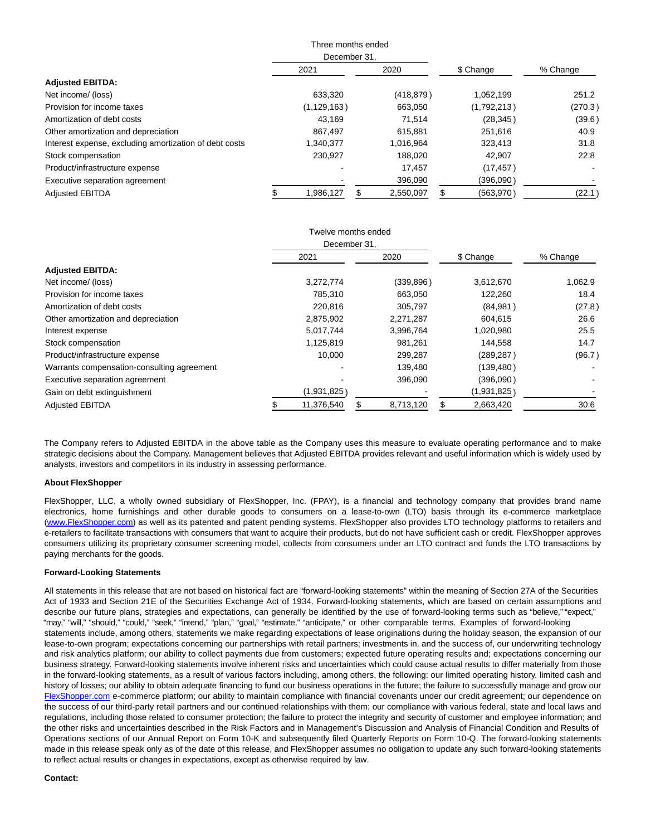|                                                        | Three months ended           |               |  |            |          |             |         |
|--------------------------------------------------------|------------------------------|---------------|--|------------|----------|-------------|---------|
|                                                        | December 31.<br>2021<br>2020 |               |  | \$ Change  | % Change |             |         |
| <b>Adjusted EBITDA:</b>                                |                              |               |  |            |          |             |         |
| Net income/ (loss)                                     |                              | 633,320       |  | (418, 879) |          | 1,052,199   | 251.2   |
| Provision for income taxes                             |                              | (1, 129, 163) |  | 663.050    |          | (1,792,213) | (270.3) |
| Amortization of debt costs                             |                              | 43.169        |  | 71.514     |          | (28, 345)   | (39.6)  |
| Other amortization and depreciation                    |                              | 867.497       |  | 615,881    |          | 251.616     | 40.9    |
| Interest expense, excluding amortization of debt costs |                              | 1.340.377     |  | 1.016.964  |          | 323.413     | 31.8    |
| Stock compensation                                     |                              | 230,927       |  | 188.020    |          | 42.907      | 22.8    |
| Product/infrastructure expense                         |                              |               |  | 17.457     |          | (17, 457)   |         |
| Executive separation agreement                         |                              |               |  | 396,090    |          | (396,090)   |         |
| <b>Adiusted EBITDA</b>                                 |                              | 1,986,127     |  | 2.550.097  |          | (563, 970)  | (22.1)  |

|                                            |              | Twelve months ended |  |            |             |          |
|--------------------------------------------|--------------|---------------------|--|------------|-------------|----------|
|                                            | December 31. |                     |  |            |             |          |
|                                            |              | 2021                |  | 2020       | \$ Change   | % Change |
| <b>Adjusted EBITDA:</b>                    |              |                     |  |            |             |          |
| Net income/ (loss)                         |              | 3,272,774           |  | (339, 896) | 3,612,670   | 1,062.9  |
| Provision for income taxes                 |              | 785,310             |  | 663,050    | 122,260     | 18.4     |
| Amortization of debt costs                 |              | 220,816             |  | 305.797    | (84,981)    | (27.8)   |
| Other amortization and depreciation        |              | 2,875,902           |  | 2,271,287  | 604.615     | 26.6     |
| Interest expense                           |              | 5,017,744           |  | 3,996,764  | 1,020,980   | 25.5     |
| Stock compensation                         |              | 1,125,819           |  | 981.261    | 144,558     | 14.7     |
| Product/infrastructure expense             |              | 10,000              |  | 299,287    | (289, 287)  | (96.7)   |
| Warrants compensation-consulting agreement |              |                     |  | 139,480    | (139, 480)  |          |
| Executive separation agreement             |              |                     |  | 396,090    | (396,090)   |          |
| Gain on debt extinguishment                |              | (1,931,825)         |  |            | (1,931,825) |          |
| <b>Adjusted EBITDA</b>                     |              | 11,376,540          |  | 8,713,120  | 2,663,420   | 30.6     |

The Company refers to Adjusted EBITDA in the above table as the Company uses this measure to evaluate operating performance and to make strategic decisions about the Company. Management believes that Adjusted EBITDA provides relevant and useful information which is widely used by analysts, investors and competitors in its industry in assessing performance.

# **About FlexShopper**

FlexShopper, LLC, a wholly owned subsidiary of FlexShopper, Inc. (FPAY), is a financial and technology company that provides brand name electronics, home furnishings and other durable goods to consumers on a lease-to-own (LTO) basis through its e-commerce marketplace [\(www.FlexShopper.com\)](http://www.flexshopper.com/) as well as its patented and patent pending systems. FlexShopper also provides LTO technology platforms to retailers and e-retailers to facilitate transactions with consumers that want to acquire their products, but do not have sufficient cash or credit. FlexShopper approves consumers utilizing its proprietary consumer screening model, collects from consumers under an LTO contract and funds the LTO transactions by paying merchants for the goods.

# **Forward-Looking Statements**

All statements in this release that are not based on historical fact are "forward-looking statements" within the meaning of Section 27A of the Securities Act of 1933 and Section 21E of the Securities Exchange Act of 1934. Forward-looking statements, which are based on certain assumptions and describe our future plans, strategies and expectations, can generally be identified by the use of forward-looking terms such as "believe," "expect," "may," "will," "should," "could," "seek," "intend," "plan," "goal," "estimate," "anticipate," or other comparable terms. Examples of forward-looking statements include, among others, statements we make regarding expectations of lease originations during the holiday season, the expansion of our lease-to-own program; expectations concerning our partnerships with retail partners; investments in, and the success of, our underwriting technology and risk analytics platform; our ability to collect payments due from customers; expected future operating results and; expectations concerning our business strategy. Forward-looking statements involve inherent risks and uncertainties which could cause actual results to differ materially from those in the forward-looking statements, as a result of various factors including, among others, the following: our limited operating history, limited cash and history of losses; our ability to obtain adequate financing to fund our business operations in the future; the failure to successfully manage and grow our [FlexShopper.com e](http://flexshopper.com/)-commerce platform; our ability to maintain compliance with financial covenants under our credit agreement; our dependence on the success of our third-party retail partners and our continued relationships with them; our compliance with various federal, state and local laws and regulations, including those related to consumer protection; the failure to protect the integrity and security of customer and employee information; and the other risks and uncertainties described in the Risk Factors and in Management's Discussion and Analysis of Financial Condition and Results of Operations sections of our Annual Report on Form 10-K and subsequently filed Quarterly Reports on Form 10-Q. The forward-looking statements made in this release speak only as of the date of this release, and FlexShopper assumes no obligation to update any such forward-looking statements to reflect actual results or changes in expectations, except as otherwise required by law.

# **Contact:**